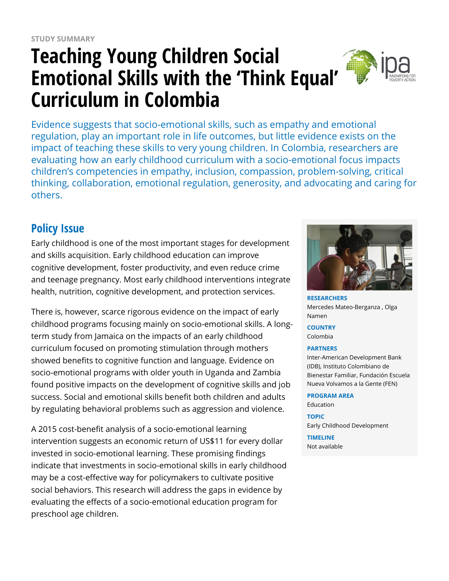# **Teaching Young Children Social Emotional Skills with the 'Think Equal' Curriculum in Colombia**



Evidence suggests that socio-emotional skills, such as empathy and emotional regulation, play an important role in life outcomes, but little evidence exists on the impact of teaching these skills to very young children. In Colombia, researchers are evaluating how an early childhood curriculum with a socio-emotional focus impacts children's competencies in empathy, inclusion, compassion, problem-solving, critical thinking, collaboration, emotional regulation, generosity, and advocating and caring for others.

### **Policy Issue**

Early childhood is one of the most important stages for development and skills acquisition. Early childhood education can improve cognitive development, foster productivity, and even reduce crime and teenage pregnancy. Most early childhood interventions integrate health, nutrition, cognitive development, and protection services.

There is, however, scarce rigorous evidence on the impact of early childhood programs focusing mainly on socio-emotional skills. A longterm study from Jamaica on the impacts of an early childhood curriculum focused on promoting stimulation through mothers showed benefits to cognitive function and language. Evidence on socio-emotional programs with older youth in Uganda and Zambia found positive impacts on the development of cognitive skills and job success. Social and emotional skills benefit both children and adults by regulating behavioral problems such as aggression and violence.

A 2015 cost-benefit analysis of a socio-emotional learning intervention suggests an economic return of US\$11 for every dollar invested in socio-emotional learning. These promising findings indicate that investments in socio-emotional skills in early childhood may be a cost-effective way for policymakers to cultivate positive social behaviors. This research will address the gaps in evidence by evaluating the effects of a socio-emotional education program for preschool age children.



**RESEARCHERS** Mercedes Mateo-Berganza , Olga Namen

**COUNTRY** Colombia

#### **PARTNERS**

Inter-American Development Bank (IDB), Instituto Colombiano de Bienestar Familiar, Fundación Escuela Nueva Volvamos a la Gente (FEN)

#### **PROGRAM AREA**

Education

**TOPIC**

Early Childhood Development **TIMELINE**

Not available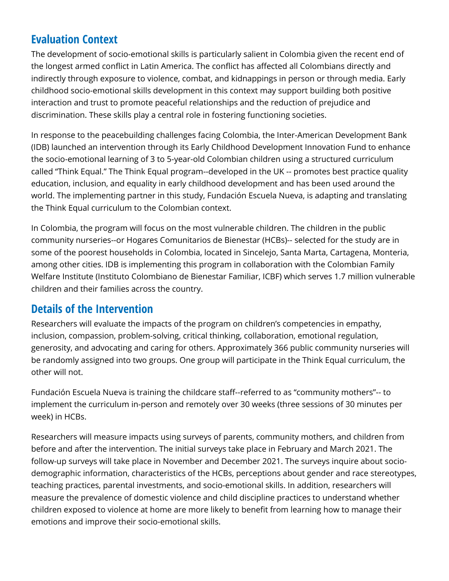### **Evaluation Context**

The development of socio-emotional skills is particularly salient in Colombia given the recent end of the longest armed conflict in Latin America. The conflict has affected all Colombians directly and indirectly through exposure to violence, combat, and kidnappings in person or through media. Early childhood socio-emotional skills development in this context may support building both positive interaction and trust to promote peaceful relationships and the reduction of prejudice and discrimination. These skills play a central role in fostering functioning societies.

In response to the peacebuilding challenges facing Colombia, the Inter-American Development Bank (IDB) launched an intervention through its Early Childhood Development Innovation Fund to enhance the socio-emotional learning of 3 to 5-year-old Colombian children using a structured curriculum called "Think Equal." The Think Equal program--developed in the UK -- promotes best practice quality education, inclusion, and equality in early childhood development and has been used around the world. The implementing partner in this study, Fundación Escuela Nueva, is adapting and translating the Think Equal curriculum to the Colombian context.

In Colombia, the program will focus on the most vulnerable children. The children in the public community nurseries--or Hogares Comunitarios de Bienestar (HCBs)-- selected for the study are in some of the poorest households in Colombia, located in Sincelejo, Santa Marta, Cartagena, Monteria, among other cities. IDB is implementing this program in collaboration with the Colombian Family Welfare Institute (Instituto Colombiano de Bienestar Familiar, ICBF) which serves 1.7 million vulnerable children and their families across the country.

### **Details of the Intervention**

Researchers will evaluate the impacts of the program on children's competencies in empathy, inclusion, compassion, problem-solving, critical thinking, collaboration, emotional regulation, generosity, and advocating and caring for others. Approximately 366 public community nurseries will be randomly assigned into two groups. One group will participate in the Think Equal curriculum, the other will not.

Fundación Escuela Nueva is training the childcare staff--referred to as "community mothers"-- to implement the curriculum in-person and remotely over 30 weeks (three sessions of 30 minutes per week) in HCBs.

Researchers will measure impacts using surveys of parents, community mothers, and children from before and after the intervention. The initial surveys take place in February and March 2021. The follow-up surveys will take place in November and December 2021. The surveys inquire about sociodemographic information, characteristics of the HCBs, perceptions about gender and race stereotypes, teaching practices, parental investments, and socio-emotional skills. In addition, researchers will measure the prevalence of domestic violence and child discipline practices to understand whether children exposed to violence at home are more likely to benefit from learning how to manage their emotions and improve their socio-emotional skills.